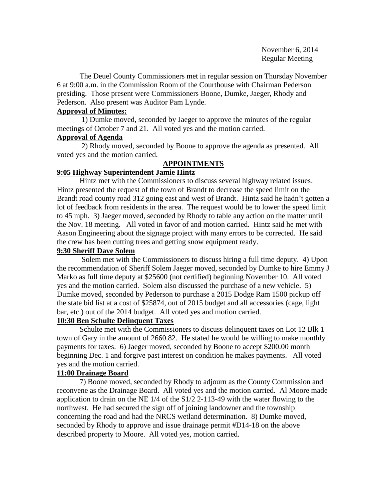The Deuel County Commissioners met in regular session on Thursday November 6 at 9:00 a.m. in the Commission Room of the Courthouse with Chairman Pederson presiding. Those present were Commissioners Boone, Dumke, Jaeger, Rhody and Pederson. Also present was Auditor Pam Lynde.

## **Approval of Minutes:**

 1) Dumke moved, seconded by Jaeger to approve the minutes of the regular meetings of October 7 and 21. All voted yes and the motion carried.

### **Approval of Agenda**

2) Rhody moved, seconded by Boone to approve the agenda as presented. All voted yes and the motion carried.

## **APPOINTMENTS**

# **9:05 Highway Superintendent Jamie Hintz**

Hintz met with the Commissioners to discuss several highway related issues. Hintz presented the request of the town of Brandt to decrease the speed limit on the Brandt road county road 312 going east and west of Brandt. Hintz said he hadn't gotten a lot of feedback from residents in the area. The request would be to lower the speed limit to 45 mph. 3) Jaeger moved, seconded by Rhody to table any action on the matter until the Nov. 18 meeting. All voted in favor of and motion carried. Hintz said he met with Aason Engineering about the signage project with many errors to be corrected. He said the crew has been cutting trees and getting snow equipment ready.

## **9:30 Sheriff Dave Solem**

Solem met with the Commissioners to discuss hiring a full time deputy. 4) Upon the recommendation of Sheriff Solem Jaeger moved, seconded by Dumke to hire Emmy J Marko as full time deputy at \$25600 (not certified) beginning November 10. All voted yes and the motion carried. Solem also discussed the purchase of a new vehicle. 5) Dumke moved, seconded by Pederson to purchase a 2015 Dodge Ram 1500 pickup off the state bid list at a cost of \$25874, out of 2015 budget and all accessories (cage, light bar, etc.) out of the 2014 budget. All voted yes and motion carried.

# **10:30 Ben Schulte Delinquent Taxes**

Schulte met with the Commissioners to discuss delinquent taxes on Lot 12 Blk 1 town of Gary in the amount of 2660.82. He stated he would be willing to make monthly payments for taxes. 6) Jaeger moved, seconded by Boone to accept \$200.00 month beginning Dec. 1 and forgive past interest on condition he makes payments. All voted yes and the motion carried.

## **11:00 Drainage Board**

7) Boone moved, seconded by Rhody to adjourn as the County Commission and reconvene as the Drainage Board. All voted yes and the motion carried. Al Moore made application to drain on the NE 1/4 of the S1/2 2-113-49 with the water flowing to the northwest. He had secured the sign off of joining landowner and the township concerning the road and had the NRCS wetland determination. 8) Dumke moved, seconded by Rhody to approve and issue drainage permit #D14-18 on the above described property to Moore. All voted yes, motion carried.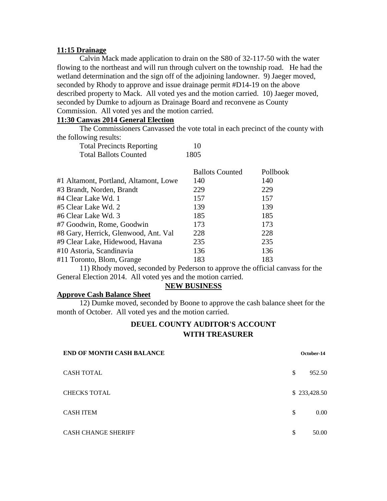#### **11:15 Drainage**

Calvin Mack made application to drain on the S80 of 32-117-50 with the water flowing to the northeast and will run through culvert on the township road. He had the wetland determination and the sign off of the adjoining landowner. 9) Jaeger moved, seconded by Rhody to approve and issue drainage permit #D14-19 on the above described property to Mack. All voted yes and the motion carried. 10) Jaeger moved, seconded by Dumke to adjourn as Drainage Board and reconvene as County Commission. All voted yes and the motion carried.

### **11:30 Canvas 2014 General Election**

The Commissioners Canvassed the vote total in each precinct of the county with the following results:

| <b>Total Precincts Reporting</b> | 10   |
|----------------------------------|------|
| <b>Total Ballots Counted</b>     | 1805 |

|                                       | <b>Ballots Counted</b> | Pollbook |
|---------------------------------------|------------------------|----------|
| #1 Altamont, Portland, Altamont, Lowe | 140                    | 140      |
| #3 Brandt, Norden, Brandt             | 229                    | 229      |
| #4 Clear Lake Wd. 1                   | 157                    | 157      |
| #5 Clear Lake Wd. 2                   | 139                    | 139      |
| #6 Clear Lake Wd. 3                   | 185                    | 185      |
| #7 Goodwin, Rome, Goodwin             | 173                    | 173      |
| #8 Gary, Herrick, Glenwood, Ant. Val  | 228                    | 228      |
| #9 Clear Lake, Hidewood, Havana       | 235                    | 235      |
| #10 Astoria, Scandinavia              | 136                    | 136      |
| #11 Toronto, Blom, Grange             | 183                    | 183      |
|                                       |                        |          |

11) Rhody moved, seconded by Pederson to approve the official canvass for the General Election 2014. All voted yes and the motion carried.

### **NEW BUSINESS**

#### **Approve Cash Balance Sheet**

12) Dumke moved, seconded by Boone to approve the cash balance sheet for the month of October. All voted yes and the motion carried.

## **DEUEL COUNTY AUDITOR'S ACCOUNT WITH TREASURER**

| <b>END OF MONTH CASH BALANCE</b> |    | October-14   |  |
|----------------------------------|----|--------------|--|
| <b>CASH TOTAL</b>                | S  | 952.50       |  |
| <b>CHECKS TOTAL</b>              |    | \$233,428.50 |  |
| <b>CASH ITEM</b>                 | S  | 0.00         |  |
| <b>CASH CHANGE SHERIFF</b>       | \$ | 50.00        |  |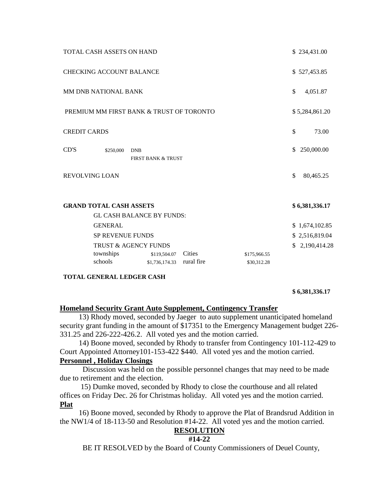|                       | TOTAL CASH ASSETS ON HAND                                          |                                |                      |                             |     | \$234,431.00   |
|-----------------------|--------------------------------------------------------------------|--------------------------------|----------------------|-----------------------------|-----|----------------|
|                       | <b>CHECKING ACCOUNT BALANCE</b>                                    |                                |                      |                             |     | \$527,453.85   |
|                       | <b>MM DNB NATIONAL BANK</b>                                        |                                |                      |                             | \$  | 4,051.87       |
|                       | PREMIUM MM FIRST BANK & TRUST OF TORONTO                           |                                |                      |                             |     | \$5,284,861.20 |
| <b>CREDIT CARDS</b>   |                                                                    |                                |                      |                             | \$  | 73.00          |
| CD'S                  | \$250,000<br><b>DNB</b>                                            | FIRST BANK & TRUST             |                      |                             | \$. | 250,000.00     |
| <b>REVOLVING LOAN</b> |                                                                    |                                |                      |                             | \$  | 80,465.25      |
|                       | <b>GRAND TOTAL CASH ASSETS</b><br><b>GL CASH BALANCE BY FUNDS:</b> |                                |                      |                             |     | \$6,381,336.17 |
|                       | <b>GENERAL</b>                                                     |                                |                      |                             |     | \$1,674,102.85 |
|                       | <b>SP REVENUE FUNDS</b>                                            |                                |                      |                             |     | \$2,516,819.04 |
| TRUST & AGENCY FUNDS  |                                                                    |                                |                      |                             | \$  | 2,190,414.28   |
|                       | townships<br>schools                                               | \$119,504.07<br>\$1,736,174.33 | Cities<br>rural fire | \$175,966.55<br>\$30,312.28 |     |                |
|                       |                                                                    |                                |                      |                             |     |                |

**TOTAL GENERAL LEDGER CASH**

**\$ 6,381,336.17**

#### **Homeland Security Grant Auto Supplement, Contingency Transfer**

 13) Rhody moved, seconded by Jaeger to auto supplement unanticipated homeland security grant funding in the amount of \$17351 to the Emergency Management budget 226- 331.25 and 226-222-426.2. All voted yes and the motion carried.

 14) Boone moved, seconded by Rhody to transfer from Contingency 101-112-429 to Court Appointed Attorney101-153-422 \$440. All voted yes and the motion carried.

## **Personnel , Holiday Closings**

 Discussion was held on the possible personnel changes that may need to be made due to retirement and the election.

 15) Dumke moved, seconded by Rhody to close the courthouse and all related offices on Friday Dec. 26 for Christmas holiday. All voted yes and the motion carried. **Plat**

 16) Boone moved, seconded by Rhody to approve the Plat of Brandsrud Addition in the NW1/4 of 18-113-50 and Resolution #14-22. All voted yes and the motion carried.

### **RESOLUTION**

#### **#14-22**

BE IT RESOLVED by the Board of County Commissioners of Deuel County,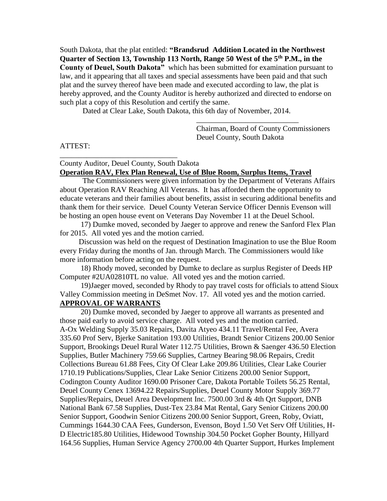South Dakota, that the plat entitled: **"Brandsrud Addition Located in the Northwest Quarter of Section 13, Township 113 North, Range 50 West of the 5th P.M., in the County of Deuel, South Dakota"** which has been submitted for examination pursuant to law, and it appearing that all taxes and special assessments have been paid and that such plat and the survey thereof have been made and executed according to law, the plat is hereby approved, and the County Auditor is hereby authorized and directed to endorse on such plat a copy of this Resolution and certify the same.

Dated at Clear Lake, South Dakota, this 6th day of November, 2014.

Chairman, Board of County Commissioners Deuel County, South Dakota

\_\_\_\_\_\_\_\_\_\_\_\_\_\_\_\_\_\_\_\_\_\_\_\_\_\_\_

### ATTEST:

\_\_\_\_\_\_\_\_\_\_\_\_\_\_\_\_\_\_\_\_\_\_\_\_\_\_\_\_\_\_\_

### County Auditor, Deuel County, South Dakota **Operation RAV, Flex Plan Renewal, Use of Blue Room, Surplus Items, Travel**

 The Commissioners were given information by the Department of Veterans Affairs about Operation RAV Reaching All Veterans. It has afforded them the opportunity to educate veterans and their families about benefits, assist in securing additional benefits and thank them for their service. Deuel County Veteran Service Officer Dennis Evenson will be hosting an open house event on Veterans Day November 11 at the Deuel School.

 17) Dumke moved, seconded by Jaeger to approve and renew the Sanford Flex Plan for 2015. All voted yes and the motion carried.

 Discussion was held on the request of Destination Imagination to use the Blue Room every Friday during the months of Jan. through March. The Commissioners would like more information before acting on the request.

 18) Rhody moved, seconded by Dumke to declare as surplus Register of Deeds HP Computer #2UA02810TL no value. All voted yes and the motion carried.

 19)Jaeger moved, seconded by Rhody to pay travel costs for officials to attend Sioux Valley Commission meeting in DeSmet Nov. 17. All voted yes and the motion carried. **APPROVAL OF WARRANTS**

 20) Dumke moved, seconded by Jaeger to approve all warrants as presented and those paid early to avoid service charge. All voted yes and the motion carried. A-Ox Welding Supply 35.03 Repairs, Davita Atyeo 434.11 Travel/Rental Fee, Avera 335.60 Prof Serv, Bjerke Sanitation 193.00 Utilities, Brandt Senior Citizens 200.00 Senior Support, Brookings Deuel Rural Water 112.75 Utilities, Brown & Saenger 436.50 Election Supplies, Butler Machinery 759.66 Supplies, Cartney Bearing 98.06 Repairs, Credit Collections Bureau 61.88 Fees, City Of Clear Lake 209.86 Utilities, Clear Lake Courier 1710.19 Publications/Supplies, Clear Lake Senior Citizens 200.00 Senior Support, Codington County Auditor 1690.00 Prisoner Care, Dakota Portable Toilets 56.25 Rental, Deuel County Cenex 13694.22 Repairs/Supplies, Deuel County Motor Supply 369.77 Supplies/Repairs, Deuel Area Development Inc. 7500.00 3rd & 4th Qrt Support, DNB National Bank 67.58 Supplies, Dust-Tex 23.84 Mat Rental, Gary Senior Citizens 200.00 Senior Support, Goodwin Senior Citizens 200.00 Senior Support, Green, Roby, Oviatt, Cummings 1644.30 CAA Fees, Gunderson, Evenson, Boyd 1.50 Vet Serv Off Utilities, H-D Electric185.80 Utilities, Hidewood Township 304.50 Pocket Gopher Bounty, Hillyard 164.56 Supplies, Human Service Agency 2700.00 4th Quarter Support, Hurkes Implement